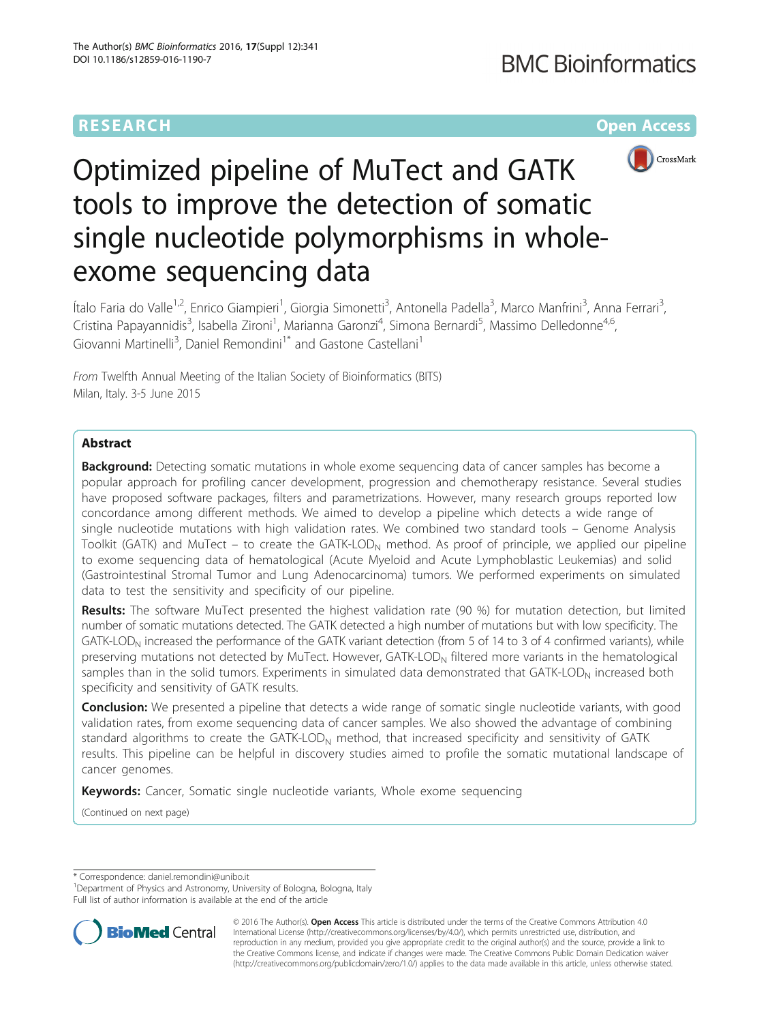# **RESEARCH CHEAR CHEAR CHEAR CHEAR CHEAR CHEAR CHEAR CHEAR CHEAR CHEAR CHEAR CHEAR CHEAR CHEAR CHEAR CHEAR CHEAR**



# Optimized pipeline of MuTect and GATK tools to improve the detection of somatic single nucleotide polymorphisms in wholeexome sequencing data

Ítalo Faria do Valle<sup>1,2</sup>, Enrico Giampieri<sup>1</sup>, Giorgia Simonetti<sup>3</sup>, Antonella Padella<sup>3</sup>, Marco Manfrini<sup>3</sup>, Anna Ferrari<sup>3</sup> , Cristina Papayannidis<sup>3</sup>, Isabella Zironi<sup>1</sup>, Marianna Garonzi<sup>4</sup>, Simona Bernardi<sup>5</sup>, Massimo Delledonne<sup>4,6</sup>, Giovanni Martinelli<sup>3</sup>, Daniel Remondini<sup>1\*</sup> and Gastone Castellani<sup>1</sup>

From Twelfth Annual Meeting of the Italian Society of Bioinformatics (BITS) Milan, Italy. 3-5 June 2015

# Abstract

**Background:** Detecting somatic mutations in whole exome sequencing data of cancer samples has become a popular approach for profiling cancer development, progression and chemotherapy resistance. Several studies have proposed software packages, filters and parametrizations. However, many research groups reported low concordance among different methods. We aimed to develop a pipeline which detects a wide range of single nucleotide mutations with high validation rates. We combined two standard tools – Genome Analysis Toolkit (GATK) and MuTect – to create the GATK-LOD<sub>N</sub> method. As proof of principle, we applied our pipeline to exome sequencing data of hematological (Acute Myeloid and Acute Lymphoblastic Leukemias) and solid (Gastrointestinal Stromal Tumor and Lung Adenocarcinoma) tumors. We performed experiments on simulated data to test the sensitivity and specificity of our pipeline.

Results: The software MuTect presented the highest validation rate (90 %) for mutation detection, but limited number of somatic mutations detected. The GATK detected a high number of mutations but with low specificity. The GATK-LOD<sub>N</sub> increased the performance of the GATK variant detection (from 5 of 14 to 3 of 4 confirmed variants), while preserving mutations not detected by MuTect. However, GATK-LOD<sub>N</sub> filtered more variants in the hematological samples than in the solid tumors. Experiments in simulated data demonstrated that  $GATK\text{-}LOD_N$  increased both specificity and sensitivity of GATK results.

**Conclusion:** We presented a pipeline that detects a wide range of somatic single nucleotide variants, with good validation rates, from exome sequencing data of cancer samples. We also showed the advantage of combining standard algorithms to create the GATK-LOD<sub>N</sub> method, that increased specificity and sensitivity of GATK results. This pipeline can be helpful in discovery studies aimed to profile the somatic mutational landscape of cancer genomes.

Keywords: Cancer, Somatic single nucleotide variants, Whole exome sequencing

(Continued on next page)

\* Correspondence: [daniel.remondini@unibo.it](mailto:daniel.remondini@unibo.it) <sup>1</sup>

<sup>1</sup>Department of Physics and Astronomy, University of Bologna, Bologna, Italy Full list of author information is available at the end of the article



© 2016 The Author(s). Open Access This article is distributed under the terms of the Creative Commons Attribution 4.0 International License [\(http://creativecommons.org/licenses/by/4.0/](http://creativecommons.org/licenses/by/4.0/)), which permits unrestricted use, distribution, and reproduction in any medium, provided you give appropriate credit to the original author(s) and the source, provide a link to the Creative Commons license, and indicate if changes were made. The Creative Commons Public Domain Dedication waiver [\(http://creativecommons.org/publicdomain/zero/1.0/](http://creativecommons.org/publicdomain/zero/1.0/)) applies to the data made available in this article, unless otherwise stated.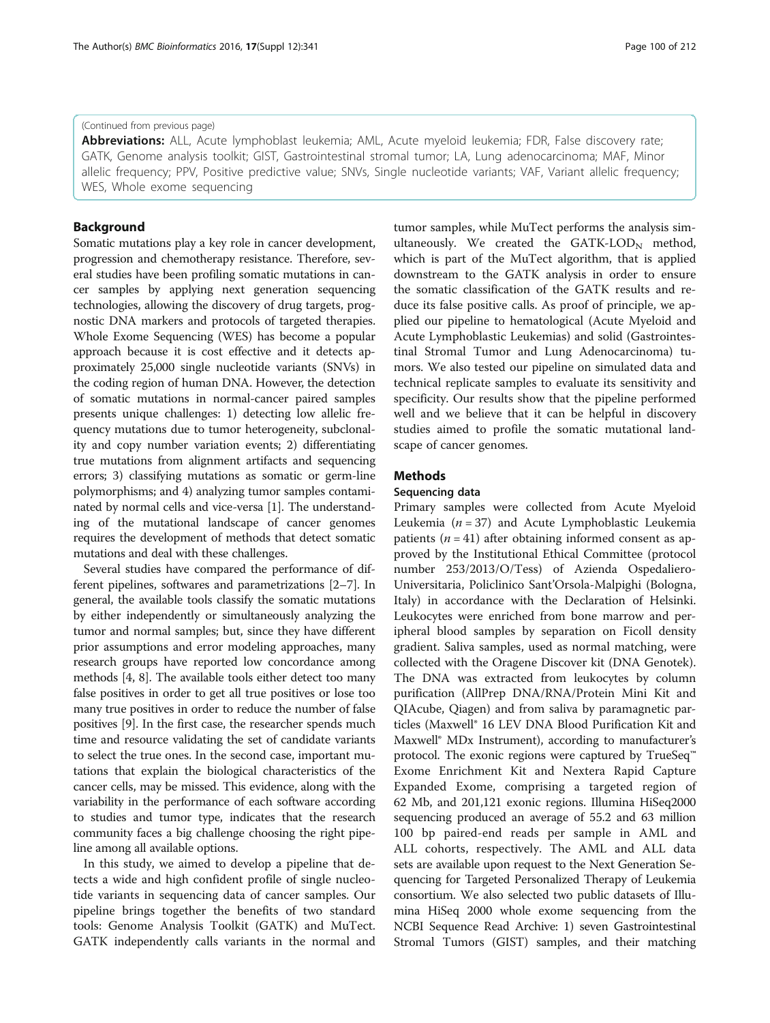## (Continued from previous page)

Abbreviations: ALL, Acute lymphoblast leukemia; AML, Acute myeloid leukemia; FDR, False discovery rate; GATK, Genome analysis toolkit; GIST, Gastrointestinal stromal tumor; LA, Lung adenocarcinoma; MAF, Minor allelic frequency; PPV, Positive predictive value; SNVs, Single nucleotide variants; VAF, Variant allelic frequency; WES, Whole exome sequencing

# Background

Somatic mutations play a key role in cancer development, progression and chemotherapy resistance. Therefore, several studies have been profiling somatic mutations in cancer samples by applying next generation sequencing technologies, allowing the discovery of drug targets, prognostic DNA markers and protocols of targeted therapies. Whole Exome Sequencing (WES) has become a popular approach because it is cost effective and it detects approximately 25,000 single nucleotide variants (SNVs) in the coding region of human DNA. However, the detection of somatic mutations in normal-cancer paired samples presents unique challenges: 1) detecting low allelic frequency mutations due to tumor heterogeneity, subclonality and copy number variation events; 2) differentiating true mutations from alignment artifacts and sequencing errors; 3) classifying mutations as somatic or germ-line polymorphisms; and 4) analyzing tumor samples contaminated by normal cells and vice-versa [[1\]](#page-7-0). The understanding of the mutational landscape of cancer genomes requires the development of methods that detect somatic mutations and deal with these challenges.

Several studies have compared the performance of different pipelines, softwares and parametrizations [[2](#page-7-0)–[7](#page-8-0)]. In general, the available tools classify the somatic mutations by either independently or simultaneously analyzing the tumor and normal samples; but, since they have different prior assumptions and error modeling approaches, many research groups have reported low concordance among methods [\[4](#page-8-0), [8](#page-8-0)]. The available tools either detect too many false positives in order to get all true positives or lose too many true positives in order to reduce the number of false positives [\[9\]](#page-8-0). In the first case, the researcher spends much time and resource validating the set of candidate variants to select the true ones. In the second case, important mutations that explain the biological characteristics of the cancer cells, may be missed. This evidence, along with the variability in the performance of each software according to studies and tumor type, indicates that the research community faces a big challenge choosing the right pipeline among all available options.

In this study, we aimed to develop a pipeline that detects a wide and high confident profile of single nucleotide variants in sequencing data of cancer samples. Our pipeline brings together the benefits of two standard tools: Genome Analysis Toolkit (GATK) and MuTect. GATK independently calls variants in the normal and tumor samples, while MuTect performs the analysis simultaneously. We created the  $GATK-LOD<sub>N</sub>$  method, which is part of the MuTect algorithm, that is applied downstream to the GATK analysis in order to ensure the somatic classification of the GATK results and reduce its false positive calls. As proof of principle, we applied our pipeline to hematological (Acute Myeloid and Acute Lymphoblastic Leukemias) and solid (Gastrointestinal Stromal Tumor and Lung Adenocarcinoma) tumors. We also tested our pipeline on simulated data and technical replicate samples to evaluate its sensitivity and specificity. Our results show that the pipeline performed well and we believe that it can be helpful in discovery studies aimed to profile the somatic mutational land-

# **Methods**

## Sequencing data

scape of cancer genomes.

Primary samples were collected from Acute Myeloid Leukemia ( $n = 37$ ) and Acute Lymphoblastic Leukemia patients  $(n = 41)$  after obtaining informed consent as approved by the Institutional Ethical Committee (protocol number 253/2013/O/Tess) of Azienda Ospedaliero-Universitaria, Policlinico Sant'Orsola-Malpighi (Bologna, Italy) in accordance with the Declaration of Helsinki. Leukocytes were enriched from bone marrow and peripheral blood samples by separation on Ficoll density gradient. Saliva samples, used as normal matching, were collected with the Oragene Discover kit (DNA Genotek). The DNA was extracted from leukocytes by column purification (AllPrep DNA/RNA/Protein Mini Kit and QIAcube, Qiagen) and from saliva by paramagnetic particles (Maxwell® 16 LEV DNA Blood Purification Kit and Maxwell® MDx Instrument), according to manufacturer's protocol. The exonic regions were captured by TrueSeq™ Exome Enrichment Kit and Nextera Rapid Capture Expanded Exome, comprising a targeted region of 62 Mb, and 201,121 exonic regions. Illumina HiSeq2000 sequencing produced an average of 55.2 and 63 million 100 bp paired-end reads per sample in AML and ALL cohorts, respectively. The AML and ALL data sets are available upon request to the Next Generation Sequencing for Targeted Personalized Therapy of Leukemia consortium. We also selected two public datasets of Illumina HiSeq 2000 whole exome sequencing from the NCBI Sequence Read Archive: 1) seven Gastrointestinal Stromal Tumors (GIST) samples, and their matching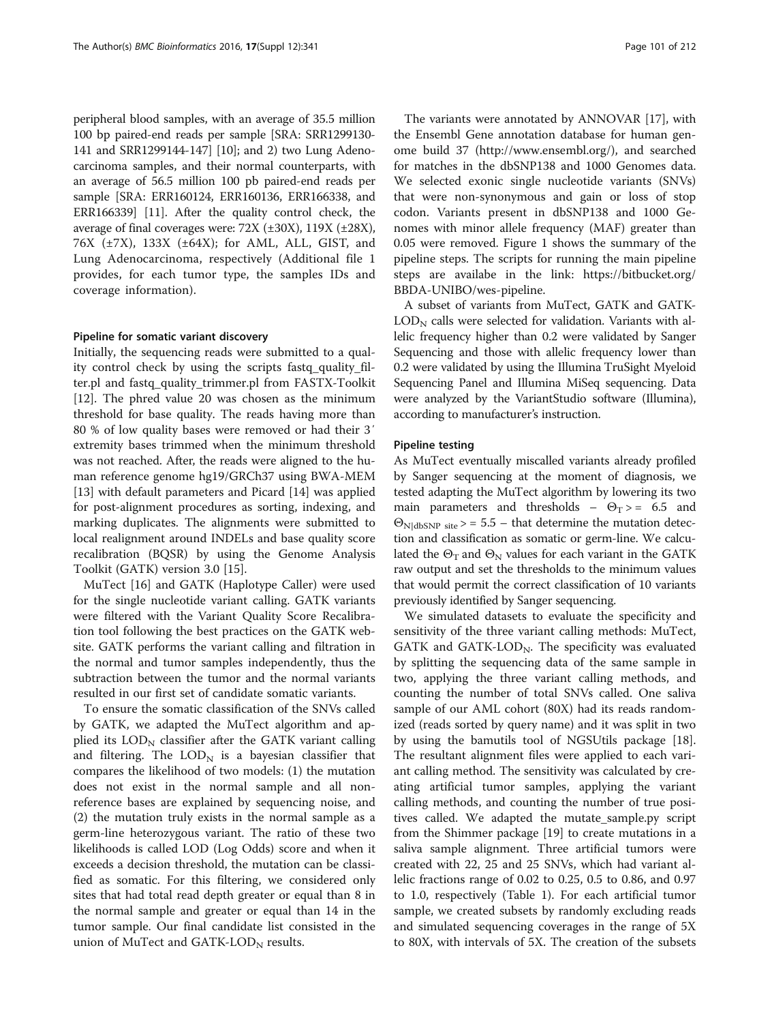peripheral blood samples, with an average of 35.5 million 100 bp paired-end reads per sample [SRA: SRR1299130- 141 and SRR1299144-147] [[10](#page-8-0)]; and 2) two Lung Adenocarcinoma samples, and their normal counterparts, with an average of 56.5 million 100 pb paired-end reads per sample [SRA: ERR160124, ERR160136, ERR166338, and ERR166339] [[11](#page-8-0)]. After the quality control check, the average of final coverages were:  $72X$  ( $\pm 30X$ ),  $119X$  ( $\pm 28X$ ), 76X (±7X), 133X (±64X); for AML, ALL, GIST, and Lung Adenocarcinoma, respectively (Additional file [1](#page-7-0) provides, for each tumor type, the samples IDs and coverage information).

## Pipeline for somatic variant discovery

Initially, the sequencing reads were submitted to a quality control check by using the scripts fastq\_quality\_filter.pl and fastq\_quality\_trimmer.pl from FASTX-Toolkit [[12\]](#page-8-0). The phred value 20 was chosen as the minimum threshold for base quality. The reads having more than 80 % of low quality bases were removed or had their 3′ extremity bases trimmed when the minimum threshold was not reached. After, the reads were aligned to the human reference genome hg19/GRCh37 using BWA-MEM [[13\]](#page-8-0) with default parameters and Picard [[14](#page-8-0)] was applied for post-alignment procedures as sorting, indexing, and marking duplicates. The alignments were submitted to local realignment around INDELs and base quality score recalibration (BQSR) by using the Genome Analysis Toolkit (GATK) version 3.0 [\[15\]](#page-8-0).

MuTect [\[16\]](#page-8-0) and GATK (Haplotype Caller) were used for the single nucleotide variant calling. GATK variants were filtered with the Variant Quality Score Recalibration tool following the best practices on the GATK website. GATK performs the variant calling and filtration in the normal and tumor samples independently, thus the subtraction between the tumor and the normal variants resulted in our first set of candidate somatic variants.

To ensure the somatic classification of the SNVs called by GATK, we adapted the MuTect algorithm and applied its  $\text{LOD}_N$  classifier after the GATK variant calling and filtering. The  $\text{LOD}_N$  is a bayesian classifier that compares the likelihood of two models: (1) the mutation does not exist in the normal sample and all nonreference bases are explained by sequencing noise, and (2) the mutation truly exists in the normal sample as a germ-line heterozygous variant. The ratio of these two likelihoods is called LOD (Log Odds) score and when it exceeds a decision threshold, the mutation can be classified as somatic. For this filtering, we considered only sites that had total read depth greater or equal than 8 in the normal sample and greater or equal than 14 in the tumor sample. Our final candidate list consisted in the union of MuTect and GATK-LOD $_N$  results.

The variants were annotated by ANNOVAR [\[17](#page-8-0)], with the Ensembl Gene annotation database for human genome build 37 ([http://www.ensembl.org/\)](http://www.ensembl.org/), and searched for matches in the dbSNP138 and 1000 Genomes data. We selected exonic single nucleotide variants (SNVs) that were non-synonymous and gain or loss of stop codon. Variants present in dbSNP138 and 1000 Genomes with minor allele frequency (MAF) greater than 0.05 were removed. Figure [1](#page-3-0) shows the summary of the pipeline steps. The scripts for running the main pipeline steps are availabe in the link: [https://bitbucket.org/](https://bitbucket.org/BBDA-UNIBO/wes-pipeline) [BBDA-UNIBO/wes-pipeline.](https://bitbucket.org/BBDA-UNIBO/wes-pipeline)

A subset of variants from MuTect, GATK and GATK- $LOD<sub>N</sub>$  calls were selected for validation. Variants with allelic frequency higher than 0.2 were validated by Sanger Sequencing and those with allelic frequency lower than 0.2 were validated by using the Illumina TruSight Myeloid Sequencing Panel and Illumina MiSeq sequencing. Data were analyzed by the VariantStudio software (Illumina), according to manufacturer's instruction.

## Pipeline testing

As MuTect eventually miscalled variants already profiled by Sanger sequencing at the moment of diagnosis, we tested adapting the MuTect algorithm by lowering its two main parameters and thresholds –  $\Theta$ <sub>T</sub> > = 6.5 and  $\Theta_{\text{NldbSNP site}}$  site > = 5.5 – that determine the mutation detection and classification as somatic or germ-line. We calculated the  $\Theta_T$  and  $\Theta_N$  values for each variant in the GATK raw output and set the thresholds to the minimum values that would permit the correct classification of 10 variants previously identified by Sanger sequencing.

We simulated datasets to evaluate the specificity and sensitivity of the three variant calling methods: MuTect, GATK and GATK-LOD $_N$ . The specificity was evaluated by splitting the sequencing data of the same sample in two, applying the three variant calling methods, and counting the number of total SNVs called. One saliva sample of our AML cohort (80X) had its reads randomized (reads sorted by query name) and it was split in two by using the bamutils tool of NGSUtils package [\[18](#page-8-0)]. The resultant alignment files were applied to each variant calling method. The sensitivity was calculated by creating artificial tumor samples, applying the variant calling methods, and counting the number of true positives called. We adapted the mutate\_sample.py script from the Shimmer package [\[19](#page-8-0)] to create mutations in a saliva sample alignment. Three artificial tumors were created with 22, 25 and 25 SNVs, which had variant allelic fractions range of 0.02 to 0.25, 0.5 to 0.86, and 0.97 to 1.0, respectively (Table [1\)](#page-4-0). For each artificial tumor sample, we created subsets by randomly excluding reads and simulated sequencing coverages in the range of 5X to 80X, with intervals of 5X. The creation of the subsets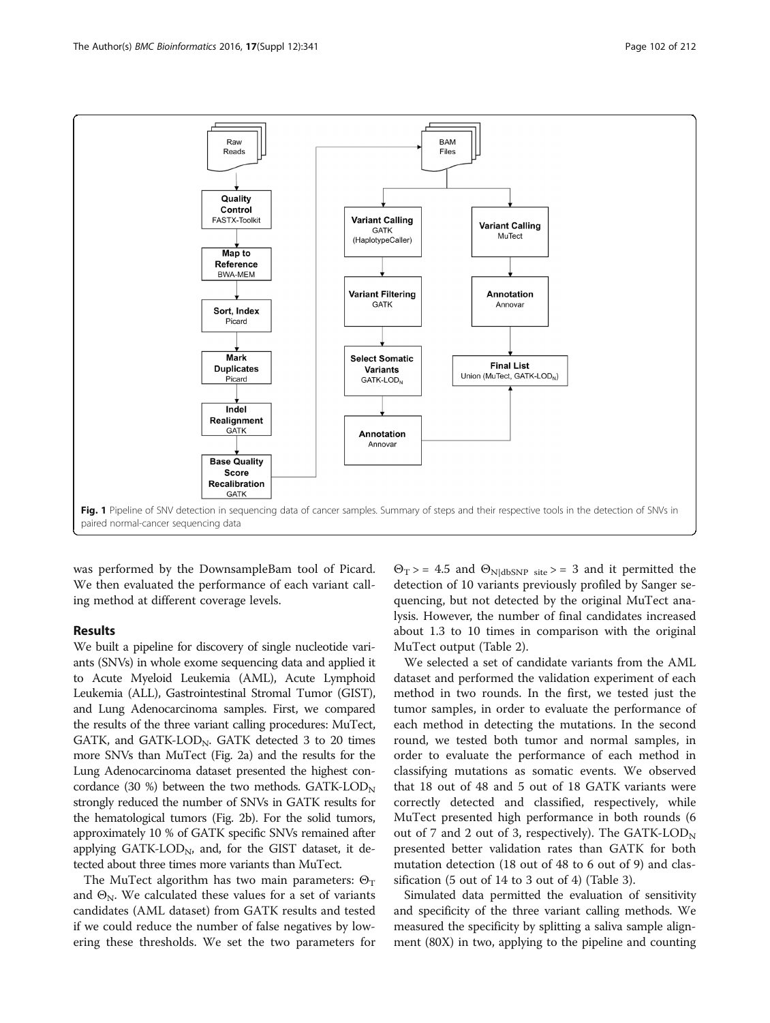<span id="page-3-0"></span>

was performed by the DownsampleBam tool of Picard. We then evaluated the performance of each variant calling method at different coverage levels.

# Results

We built a pipeline for discovery of single nucleotide variants (SNVs) in whole exome sequencing data and applied it to Acute Myeloid Leukemia (AML), Acute Lymphoid Leukemia (ALL), Gastrointestinal Stromal Tumor (GIST), and Lung Adenocarcinoma samples. First, we compared the results of the three variant calling procedures: MuTect, GATK, and GATK-LOD<sub>N</sub>. GATK detected  $3$  to  $20$  times more SNVs than MuTect (Fig. [2a\)](#page-5-0) and the results for the Lung Adenocarcinoma dataset presented the highest concordance (30 %) between the two methods.  $GATK\text{-}LOD_N$ strongly reduced the number of SNVs in GATK results for the hematological tumors (Fig. [2b\)](#page-5-0). For the solid tumors, approximately 10 % of GATK specific SNVs remained after applying GATK-LOD<sub>N</sub>, and, for the GIST dataset, it detected about three times more variants than MuTect.

The MuTect algorithm has two main parameters:  $\Theta_T$ and  $\Theta_N$ . We calculated these values for a set of variants candidates (AML dataset) from GATK results and tested if we could reduce the number of false negatives by lowering these thresholds. We set the two parameters for

 $\Theta_T$  > = 4.5 and  $\Theta_{\text{N|dbSNP site}}$  > = 3 and it permitted the detection of 10 variants previously profiled by Sanger sequencing, but not detected by the original MuTect analysis. However, the number of final candidates increased about 1.3 to 10 times in comparison with the original MuTect output (Table [2\)](#page-5-0).

We selected a set of candidate variants from the AML dataset and performed the validation experiment of each method in two rounds. In the first, we tested just the tumor samples, in order to evaluate the performance of each method in detecting the mutations. In the second round, we tested both tumor and normal samples, in order to evaluate the performance of each method in classifying mutations as somatic events. We observed that 18 out of 48 and 5 out of 18 GATK variants were correctly detected and classified, respectively, while MuTect presented high performance in both rounds (6 out of 7 and 2 out of 3, respectively). The  $GATK\text{-}LOD_N$ presented better validation rates than GATK for both mutation detection (18 out of 48 to 6 out of 9) and classification (5 out of 14 to 3 out of 4) (Table [3](#page-5-0)).

Simulated data permitted the evaluation of sensitivity and specificity of the three variant calling methods. We measured the specificity by splitting a saliva sample alignment (80X) in two, applying to the pipeline and counting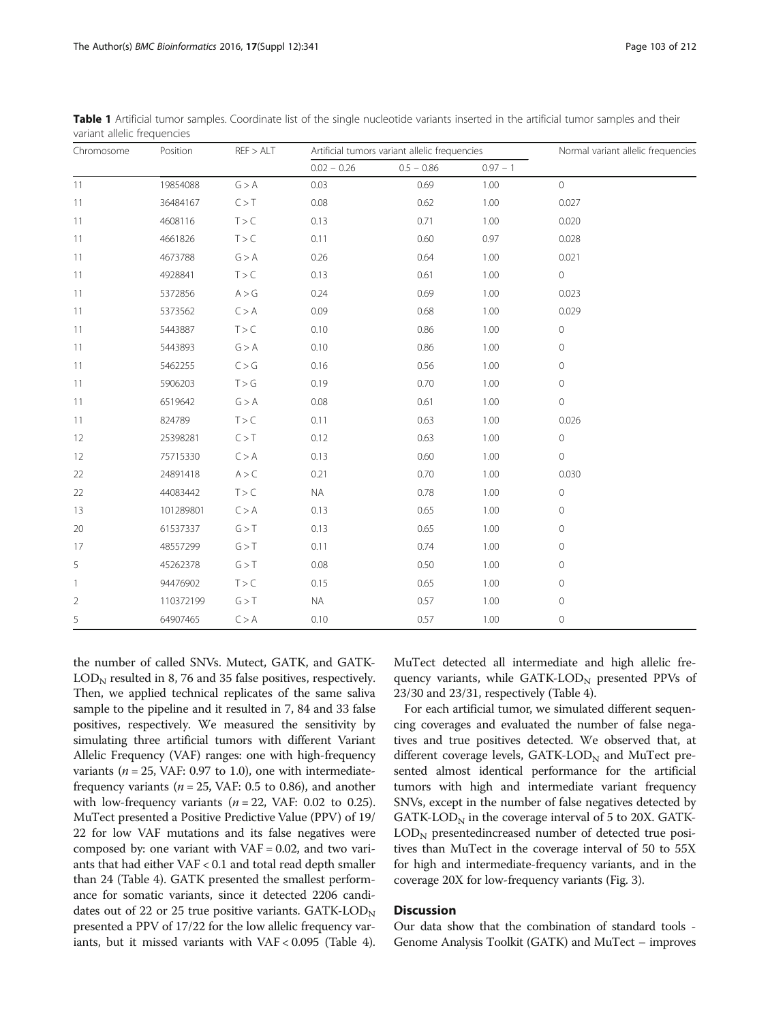$\text{LOD}_N$  resulted in 8, 76 and 35 false positives, respectively. Then, we applied technical replicates of the same saliva sample to the pipeline and it resulted in 7, 84 and 33 false positives, respectively. We measured the sensitivity by simulating three artificial tumors with different Variant Allelic Frequency (VAF) ranges: one with high-frequency variants ( $n = 25$ , VAF: 0.97 to 1.0), one with intermediatefrequency variants ( $n = 25$ , VAF: 0.5 to 0.86), and another with low-frequency variants ( $n = 22$ , VAF: 0.02 to 0.25). MuTect presented a Positive Predictive Value (PPV) of 19/ 22 for low VAF mutations and its false negatives were composed by: one variant with  $VAF = 0.02$ , and two variants that had either VAF < 0.1 and total read depth smaller than 24 (Table [4](#page-6-0)). GATK presented the smallest performance for somatic variants, since it detected 2206 candidates out of 22 or 25 true positive variants.  $GATK\text{-}LOD_N$ presented a PPV of 17/22 for the low allelic frequency variants, but it missed variants with VAF < 0.095 (Table [4](#page-6-0)).

the number of called SNVs. Mutect, GATK, and GATK-

MuTect detected all intermediate and high allelic frequency variants, while  $GATK-LOD<sub>N</sub>$  presented PPVs of 23/30 and 23/31, respectively (Table [4](#page-6-0)).

For each artificial tumor, we simulated different sequencing coverages and evaluated the number of false negatives and true positives detected. We observed that, at different coverage levels,  $GATK\text{-}LOD_N$  and MuTect presented almost identical performance for the artificial tumors with high and intermediate variant frequency SNVs, except in the number of false negatives detected by GATK-LOD $_N$  in the coverage interval of 5 to 20X. GATK- $\text{LOD}_N$  presentedincreased number of detected true positives than MuTect in the coverage interval of 50 to 55X for high and intermediate-frequency variants, and in the coverage 20X for low-frequency variants (Fig. [3\)](#page-6-0).

# **Discussion**

Our data show that the combination of standard tools - Genome Analysis Toolkit (GATK) and MuTect – improves

|                |           |       | $0.02 - 0.26$ | $0.5 - 0.86$ | $0.97 - 1$ |             |  |
|----------------|-----------|-------|---------------|--------------|------------|-------------|--|
| 11             | 19854088  | G > A | 0.03          | 0.69         | 1.00       | $\circ$     |  |
| 11             | 36484167  | C > T | 0.08          | 0.62         | 1.00       | 0.027       |  |
| 11             | 4608116   | T > C | 0.13          | 0.71         | 1.00       | 0.020       |  |
| 11             | 4661826   | T > C | 0.11          | 0.60         | 0.97       | 0.028       |  |
| 11             | 4673788   | G > A | 0.26          | 0.64         | 1.00       | 0.021       |  |
| 11             | 4928841   | T > C | 0.13          | 0.61         | 1.00       | $\circ$     |  |
| 11             | 5372856   | A > G | 0.24          | 0.69         | 1.00       | 0.023       |  |
| 11             | 5373562   | C > A | 0.09          | 0.68         | 1.00       | 0.029       |  |
| 11             | 5443887   | T > C | 0.10          | 0.86         | 1.00       | $\circ$     |  |
| 11             | 5443893   | G > A | 0.10          | 0.86         | 1.00       | 0           |  |
| 11             | 5462255   | C > G | 0.16          | 0.56         | 1.00       | 0           |  |
| 11             | 5906203   | T > G | 0.19          | 0.70         | 1.00       | $\circ$     |  |
| 11             | 6519642   | G > A | 0.08          | 0.61         | 1.00       | $\circ$     |  |
| 11             | 824789    | T > C | 0.11          | 0.63         | 1.00       | 0.026       |  |
| 12             | 25398281  | C > T | 0.12          | 0.63         | 1.00       | $\circ$     |  |
| 12             | 75715330  | C > A | 0.13          | 0.60         | 1.00       | $\circ$     |  |
| 22             | 24891418  | A > C | 0.21          | 0.70         | 1.00       | 0.030       |  |
| 22             | 44083442  | T > C | <b>NA</b>     | 0.78         | 1.00       | 0           |  |
| 13             | 101289801 | C > A | 0.13          | 0.65         | 1.00       | 0           |  |
| 20             | 61537337  | G > T | 0.13          | 0.65         | 1.00       | 0           |  |
| 17             | 48557299  | G > T | 0.11          | 0.74         | 1.00       | 0           |  |
| 5              | 45262378  | G > T | 0.08          | 0.50         | 1.00       | 0           |  |
| $\mathbf{1}$   | 94476902  | T > C | 0.15          | 0.65         | 1.00       | 0           |  |
| $\overline{2}$ | 110372199 | G > T | <b>NA</b>     | 0.57         | 1.00       | $\mathbf 0$ |  |
| 5              | 64907465  | C > A | 0.10          | 0.57         | 1.00       | 0           |  |

<span id="page-4-0"></span>Table 1 Artificial tumor samples. Coordinate list of the single nucleotide variants inserted in the artificial tumor samples and their variant allelic frequencies

Chromosome Position REF > ALT Artificial tumors variant allelic frequencies Normal variant allelic frequencies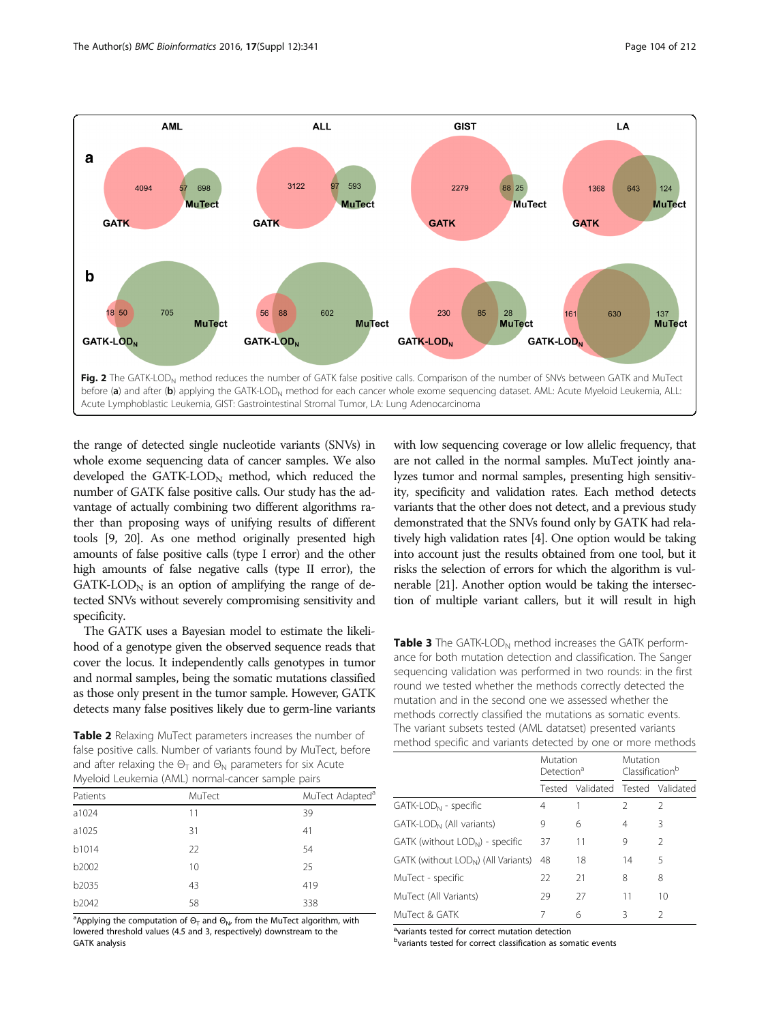<span id="page-5-0"></span>

the range of detected single nucleotide variants (SNVs) in whole exome sequencing data of cancer samples. We also developed the  $GATK-LOD_N$  method, which reduced the number of GATK false positive calls. Our study has the advantage of actually combining two different algorithms rather than proposing ways of unifying results of different tools [\[9, 20\]](#page-8-0). As one method originally presented high amounts of false positive calls (type I error) and the other high amounts of false negative calls (type II error), the  $GATK\text{-}LOD<sub>N</sub>$  is an option of amplifying the range of detected SNVs without severely compromising sensitivity and specificity.

The GATK uses a Bayesian model to estimate the likelihood of a genotype given the observed sequence reads that cover the locus. It independently calls genotypes in tumor and normal samples, being the somatic mutations classified as those only present in the tumor sample. However, GATK detects many false positives likely due to germ-line variants

Table 2 Relaxing MuTect parameters increases the number of false positive calls. Number of variants found by MuTect, before and after relaxing the  $\Theta_T$  and  $\Theta_N$  parameters for six Acute Myeloid Leukemia (AML) normal-cancer sample pairs

| $\epsilon$ |        | . .                         |
|------------|--------|-----------------------------|
| Patients   | MuTect | MuTect Adapted <sup>a</sup> |
| a1024      | 11     | 39                          |
| a1025      | 31     | 41                          |
| b1014      | 22     | 54                          |
| b2002      | 10     | 25                          |
| b2035      | 43     | 419                         |
| b2042      | 58     | 338                         |

<sup>a</sup>Applying the computation of  $\Theta_{\mathsf{T}}$  and  $\Theta_{\mathsf{N}}$ , from the MuTect algorithm, with lowered threshold values (4.5 and 3, respectively) downstream to the GATK analysis

with low sequencing coverage or low allelic frequency, that are not called in the normal samples. MuTect jointly analyzes tumor and normal samples, presenting high sensitivity, specificity and validation rates. Each method detects variants that the other does not detect, and a previous study demonstrated that the SNVs found only by GATK had relatively high validation rates [[4\]](#page-8-0). One option would be taking into account just the results obtained from one tool, but it risks the selection of errors for which the algorithm is vulnerable [[21](#page-8-0)]. Another option would be taking the intersection of multiple variant callers, but it will result in high

**Table 3** The GATK-LOD<sub>N</sub> method increases the GATK performance for both mutation detection and classification. The Sanger sequencing validation was performed in two rounds: in the first round we tested whether the methods correctly detected the mutation and in the second one we assessed whether the methods correctly classified the mutations as somatic events. The variant subsets tested (AML datatset) presented variants method specific and variants detected by one or more methods

|                                                 | Mutation<br>Detection <sup>a</sup> |                                   | Mutation<br>Classification <sup>b</sup> |                |
|-------------------------------------------------|------------------------------------|-----------------------------------|-----------------------------------------|----------------|
|                                                 |                                    | Tested Validated Tested Validated |                                         |                |
| GATK-LOD <sub>N</sub> - specific                | 4                                  | 1                                 | $\mathfrak{D}$                          | $\mathfrak{D}$ |
| GATK-LOD <sub>N</sub> (All variants)            | 9                                  | 6                                 | 4                                       | 3              |
| GATK (without LOD <sub>N</sub> ) - specific     | 37                                 | 11                                | 9                                       | $\mathfrak{D}$ |
| GATK (without LOD <sub>N</sub> ) (All Variants) | 48                                 | 18                                | 14                                      | 5              |
| MuTect - specific                               | 22                                 | 21                                | 8                                       | 8              |
| MuTect (All Variants)                           | 29                                 | 27                                | 11                                      | 10             |
| MuTect & GATK                                   |                                    | 6                                 | Β                                       | $\mathcal{P}$  |

<sup>a</sup>variants tested for correct mutation detection

b<sub>variants</sub> tested for correct classification as somatic events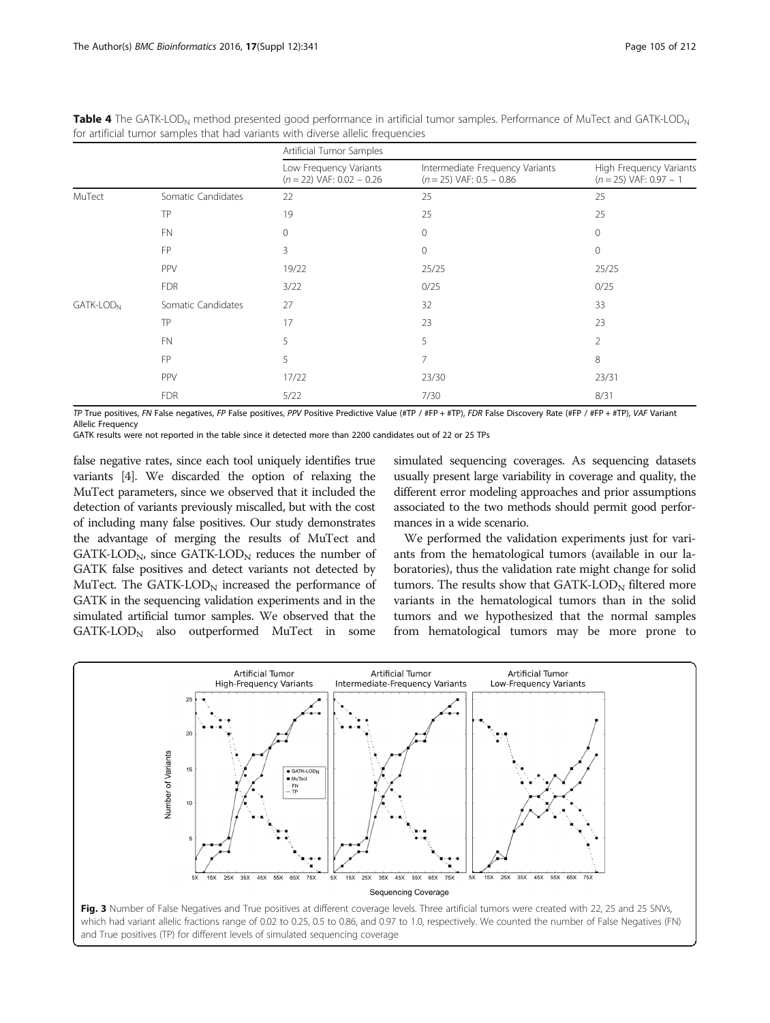|                       |                    | Artificial Tumor Samples                              |                                                               |                                                     |  |
|-----------------------|--------------------|-------------------------------------------------------|---------------------------------------------------------------|-----------------------------------------------------|--|
|                       |                    | Low Frequency Variants<br>$(n = 22)$ VAF: 0.02 - 0.26 | Intermediate Frequency Variants<br>$(n = 25)$ VAF: 0.5 - 0.86 | High Frequency Variants<br>$(n = 25)$ VAF: 0.97 - 1 |  |
| MuTect                | Somatic Candidates | 22                                                    | 25                                                            | 25                                                  |  |
|                       | TP                 | 19                                                    | 25                                                            | 25                                                  |  |
|                       | <b>FN</b>          | $\Omega$                                              | 0                                                             | $\Omega$                                            |  |
|                       | FP                 | 3                                                     | 0                                                             | $\Omega$                                            |  |
|                       | PPV                | 19/22                                                 | 25/25                                                         | 25/25                                               |  |
|                       | <b>FDR</b>         | 3/22                                                  | 0/25                                                          | 0/25                                                |  |
| GATK-LOD <sub>N</sub> | Somatic Candidates | 27                                                    | 32                                                            | 33                                                  |  |
|                       | TP                 | 17                                                    | 23                                                            | 23                                                  |  |
|                       | <b>FN</b>          | 5                                                     | 5                                                             | 2                                                   |  |
|                       | FP                 | 5                                                     | 7                                                             | 8                                                   |  |
|                       | PPV                | 17/22                                                 | 23/30                                                         | 23/31                                               |  |
|                       | <b>FDR</b>         | 5/22                                                  | 7/30                                                          | 8/31                                                |  |

<span id="page-6-0"></span>Table 4 The GATK-LOD<sub>N</sub> method presented good performance in artificial tumor samples. Performance of MuTect and GATK-LOD<sub>N</sub> for artificial tumor samples that had variants with diverse allelic frequencies

TP True positives, FN False negatives, FP False positives, PPV Positive Predictive Value (#TP / #FP + #TP), FDR False Discovery Rate (#FP / #FP + #TP), VAF Variant Allelic Frequency

GATK results were not reported in the table since it detected more than 2200 candidates out of 22 or 25 TPs

false negative rates, since each tool uniquely identifies true variants [\[4](#page-8-0)]. We discarded the option of relaxing the MuTect parameters, since we observed that it included the detection of variants previously miscalled, but with the cost of including many false positives. Our study demonstrates the advantage of merging the results of MuTect and  $GATK\text{-}LOD<sub>N</sub>$ , since  $GATK\text{-}LOD<sub>N</sub>$  reduces the number of GATK false positives and detect variants not detected by MuTect. The GATK-LOD $_{\rm N}$  increased the performance of GATK in the sequencing validation experiments and in the simulated artificial tumor samples. We observed that the  $GATK\text{-}LOD<sub>N</sub>$  also outperformed MuTect in some

simulated sequencing coverages. As sequencing datasets usually present large variability in coverage and quality, the different error modeling approaches and prior assumptions associated to the two methods should permit good performances in a wide scenario.

We performed the validation experiments just for variants from the hematological tumors (available in our laboratories), thus the validation rate might change for solid tumors. The results show that  $GATK\text{-}LOD_N$  filtered more variants in the hematological tumors than in the solid tumors and we hypothesized that the normal samples from hematological tumors may be more prone to

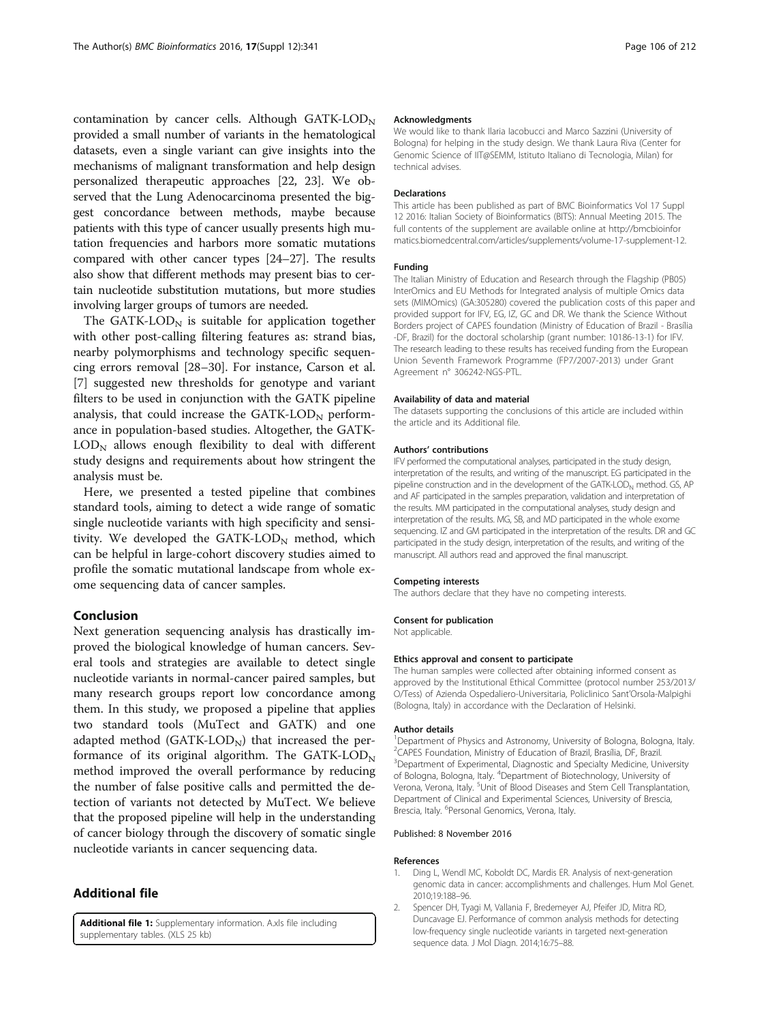<span id="page-7-0"></span>contamination by cancer cells. Although  $GATK-LOD_N$ provided a small number of variants in the hematological datasets, even a single variant can give insights into the mechanisms of malignant transformation and help design personalized therapeutic approaches [\[22, 23](#page-8-0)]. We observed that the Lung Adenocarcinoma presented the biggest concordance between methods, maybe because patients with this type of cancer usually presents high mutation frequencies and harbors more somatic mutations compared with other cancer types [[24](#page-8-0)–[27\]](#page-8-0). The results also show that different methods may present bias to certain nucleotide substitution mutations, but more studies involving larger groups of tumors are needed.

The GATK-LOD $_{\rm N}$  is suitable for application together with other post-calling filtering features as: strand bias, nearby polymorphisms and technology specific sequencing errors removal [\[28](#page-8-0)–[30](#page-8-0)]. For instance, Carson et al. [[7\]](#page-8-0) suggested new thresholds for genotype and variant filters to be used in conjunction with the GATK pipeline analysis, that could increase the  $GATK-LOD<sub>N</sub>$  performance in population-based studies. Altogether, the GATK- $LOD<sub>N</sub>$  allows enough flexibility to deal with different study designs and requirements about how stringent the analysis must be.

Here, we presented a tested pipeline that combines standard tools, aiming to detect a wide range of somatic single nucleotide variants with high specificity and sensitivity. We developed the  $GATK-LOD_N$  method, which can be helpful in large-cohort discovery studies aimed to profile the somatic mutational landscape from whole exome sequencing data of cancer samples.

# Conclusion

Next generation sequencing analysis has drastically improved the biological knowledge of human cancers. Several tools and strategies are available to detect single nucleotide variants in normal-cancer paired samples, but many research groups report low concordance among them. In this study, we proposed a pipeline that applies two standard tools (MuTect and GATK) and one adapted method  $(GATK-LOD<sub>N</sub>)$  that increased the performance of its original algorithm. The GATK-LOD<sub>N</sub> method improved the overall performance by reducing the number of false positive calls and permitted the detection of variants not detected by MuTect. We believe that the proposed pipeline will help in the understanding of cancer biology through the discovery of somatic single nucleotide variants in cancer sequencing data.

# Additional file

[Additional file 1:](dx.doi.org/10.1186/s12859-016-1190-7) Supplementary information. A.xls file including supplementary tables. (XLS 25 kb)

#### Acknowledgments

We would like to thank Ilaria Iacobucci and Marco Sazzini (University of Bologna) for helping in the study design. We thank Laura Riva (Center for Genomic Science of IIT@SEMM, Istituto Italiano di Tecnologia, Milan) for technical advises.

#### Declarations

This article has been published as part of BMC Bioinformatics Vol 17 Suppl 12 2016: Italian Society of Bioinformatics (BITS): Annual Meeting 2015. The full contents of the supplement are available online at [http://bmcbioinfor](http://bmcbioinformatics.biomedcentral.com/articles/supplements/volume-17-supplement-12) [matics.biomedcentral.com/articles/supplements/volume-17-supplement-12.](http://bmcbioinformatics.biomedcentral.com/articles/supplements/volume-17-supplement-12)

## Funding

The Italian Ministry of Education and Research through the Flagship (PB05) InterOmics and EU Methods for Integrated analysis of multiple Omics data sets (MIMOmics) (GA:305280) covered the publication costs of this paper and provided support for IFV, EG, IZ, GC and DR. We thank the Science Without Borders project of CAPES foundation (Ministry of Education of Brazil - Brasília -DF, Brazil) for the doctoral scholarship (grant number: 10186-13-1) for IFV. The research leading to these results has received funding from the European Union Seventh Framework Programme (FP7/2007-2013) under Grant Agreement n° 306242-NGS-PTL.

#### Availability of data and material

The datasets supporting the conclusions of this article are included within the article and its Additional file.

### Authors' contributions

IFV performed the computational analyses, participated in the study design, interpretation of the results, and writing of the manuscript. EG participated in the pipeline construction and in the development of the GATK-LOD<sub>N</sub> method. GS, AP and AF participated in the samples preparation, validation and interpretation of the results. MM participated in the computational analyses, study design and interpretation of the results. MG, SB, and MD participated in the whole exome sequencing. IZ and GM participated in the interpretation of the results. DR and GC participated in the study design, interpretation of the results, and writing of the manuscript. All authors read and approved the final manuscript.

#### Competing interests

The authors declare that they have no competing interests.

#### Consent for publication

Not applicable

#### Ethics approval and consent to participate

The human samples were collected after obtaining informed consent as approved by the Institutional Ethical Committee (protocol number 253/2013/ O/Tess) of Azienda Ospedaliero-Universitaria, Policlinico Sant'Orsola-Malpighi (Bologna, Italy) in accordance with the Declaration of Helsinki.

#### Author details

<sup>1</sup>Department of Physics and Astronomy, University of Bologna, Bologna, Italy. <sup>2</sup> CAPES Foundation, Ministry of Education of Brazil, Brasília, DF, Brazil. <sup>3</sup>Department of Experimental, Diagnostic and Specialty Medicine, University of Bologna, Bologna, Italy. <sup>4</sup>Department of Biotechnology, University of Verona, Verona, Italy. <sup>5</sup>Unit of Blood Diseases and Stem Cell Transplantation Department of Clinical and Experimental Sciences, University of Brescia, Brescia, Italy. <sup>6</sup>Personal Genomics, Verona, Italy.

#### Published: 8 November 2016

#### References

- 1. Ding L, Wendl MC, Koboldt DC, Mardis ER. Analysis of next-generation genomic data in cancer: accomplishments and challenges. Hum Mol Genet. 2010;19:188–96.
- 2. Spencer DH, Tyagi M, Vallania F, Bredemeyer AJ, Pfeifer JD, Mitra RD, Duncavage EJ. Performance of common analysis methods for detecting low-frequency single nucleotide variants in targeted next-generation sequence data. J Mol Diagn. 2014;16:75–88.